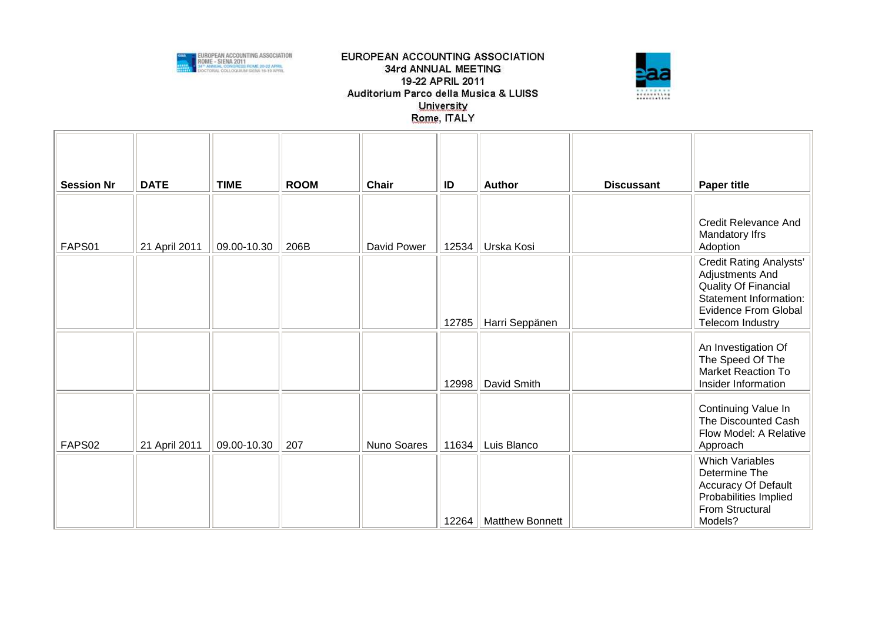



| <b>Session Nr</b> | <b>DATE</b>   | <b>TIME</b> | <b>ROOM</b> | <b>Chair</b> | ID    | <b>Author</b>          | <b>Discussant</b> | <b>Paper title</b>                                                                                                                                     |
|-------------------|---------------|-------------|-------------|--------------|-------|------------------------|-------------------|--------------------------------------------------------------------------------------------------------------------------------------------------------|
| FAPS01            | 21 April 2011 | 09.00-10.30 | 206B        | David Power  | 12534 | Urska Kosi             |                   | <b>Credit Relevance And</b><br>Mandatory Ifrs<br>Adoption                                                                                              |
|                   |               |             |             |              | 12785 | Harri Seppänen         |                   | <b>Credit Rating Analysts'</b><br>Adjustments And<br>Quality Of Financial<br>Statement Information:<br><b>Evidence From Global</b><br>Telecom Industry |
|                   |               |             |             |              | 12998 | David Smith            |                   | An Investigation Of<br>The Speed Of The<br><b>Market Reaction To</b><br>Insider Information                                                            |
| FAPS02            | 21 April 2011 | 09.00-10.30 | 207         | Nuno Soares  | 11634 | Luis Blanco            |                   | Continuing Value In<br>The Discounted Cash<br>Flow Model: A Relative<br>Approach                                                                       |
|                   |               |             |             |              | 12264 | <b>Matthew Bonnett</b> |                   | <b>Which Variables</b><br>Determine The<br>Accuracy Of Default<br>Probabilities Implied<br>From Structural<br>Models?                                  |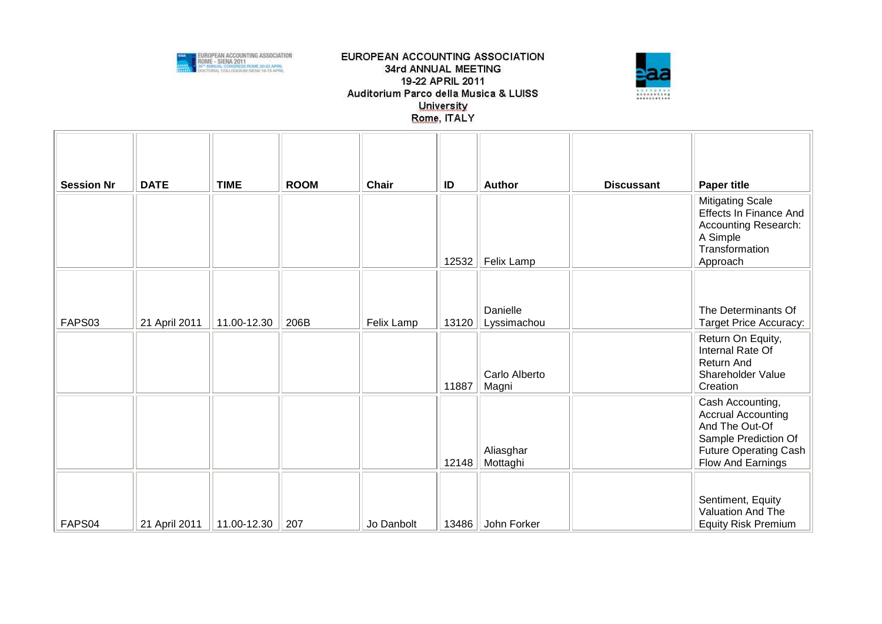



| <b>Session Nr</b> | <b>DATE</b>   | <b>TIME</b> | <b>ROOM</b> | <b>Chair</b> | ID    | <b>Author</b>           | <b>Discussant</b> | <b>Paper title</b>                                                                                                                    |
|-------------------|---------------|-------------|-------------|--------------|-------|-------------------------|-------------------|---------------------------------------------------------------------------------------------------------------------------------------|
|                   |               |             |             |              | 12532 | Felix Lamp              |                   | <b>Mitigating Scale</b><br><b>Effects In Finance And</b><br><b>Accounting Research:</b><br>A Simple<br>Transformation<br>Approach     |
| FAPS03            | 21 April 2011 | 11.00-12.30 | 206B        | Felix Lamp   | 13120 | Danielle<br>Lyssimachou |                   | The Determinants Of<br><b>Target Price Accuracy:</b>                                                                                  |
|                   |               |             |             |              | 11887 | Carlo Alberto<br>Magni  |                   | Return On Equity,<br>Internal Rate Of<br><b>Return And</b><br>Shareholder Value<br>Creation                                           |
|                   |               |             |             |              | 12148 | Aliasghar<br>Mottaghi   |                   | Cash Accounting,<br><b>Accrual Accounting</b><br>And The Out-Of<br>Sample Prediction Of<br>Future Operating Cash<br>Flow And Earnings |
| FAPS04            | 21 April 2011 | 11.00-12.30 | 207         | Jo Danbolt   | 13486 | John Forker             |                   | Sentiment, Equity<br>Valuation And The<br><b>Equity Risk Premium</b>                                                                  |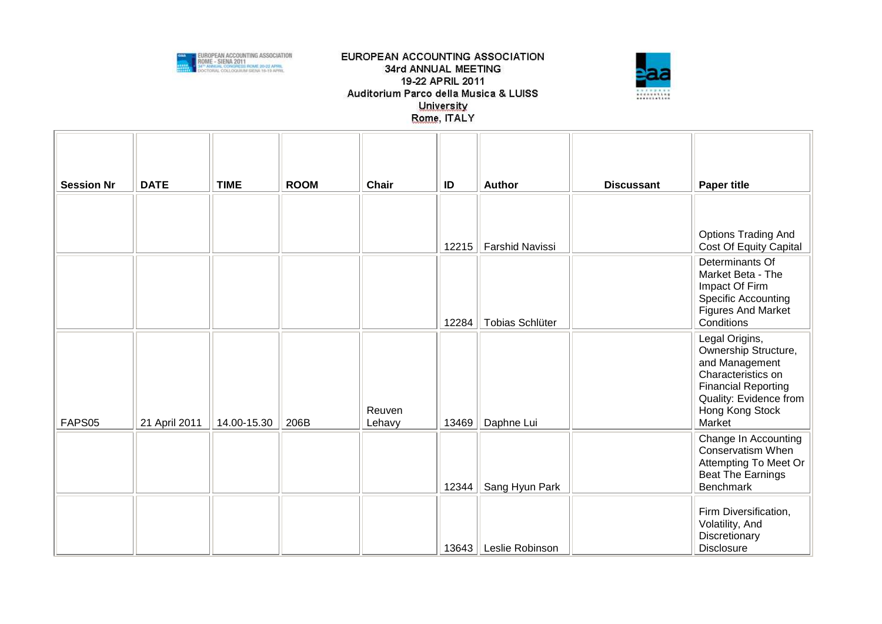



| <b>Session Nr</b> | <b>DATE</b>   | <b>TIME</b> | <b>ROOM</b> | <b>Chair</b>     | ID    | <b>Author</b>          | <b>Discussant</b> | <b>Paper title</b>                                                                                                                                                  |
|-------------------|---------------|-------------|-------------|------------------|-------|------------------------|-------------------|---------------------------------------------------------------------------------------------------------------------------------------------------------------------|
|                   |               |             |             |                  |       |                        |                   |                                                                                                                                                                     |
|                   |               |             |             |                  | 12215 | <b>Farshid Navissi</b> |                   | <b>Options Trading And</b><br>Cost Of Equity Capital                                                                                                                |
|                   |               |             |             |                  | 12284 | Tobias Schlüter        |                   | Determinants Of<br>Market Beta - The<br>Impact Of Firm<br><b>Specific Accounting</b><br><b>Figures And Market</b><br>Conditions                                     |
| FAPS05            | 21 April 2011 | 14.00-15.30 | 206B        | Reuven<br>Lehavy | 13469 | Daphne Lui             |                   | Legal Origins,<br>Ownership Structure,<br>and Management<br>Characteristics on<br><b>Financial Reporting</b><br>Quality: Evidence from<br>Hong Kong Stock<br>Market |
|                   |               |             |             |                  | 12344 | Sang Hyun Park         |                   | Change In Accounting<br>Conservatism When<br>Attempting To Meet Or<br><b>Beat The Earnings</b><br><b>Benchmark</b>                                                  |
|                   |               |             |             |                  | 13643 | Leslie Robinson        |                   | Firm Diversification,<br>Volatility, And<br>Discretionary<br><b>Disclosure</b>                                                                                      |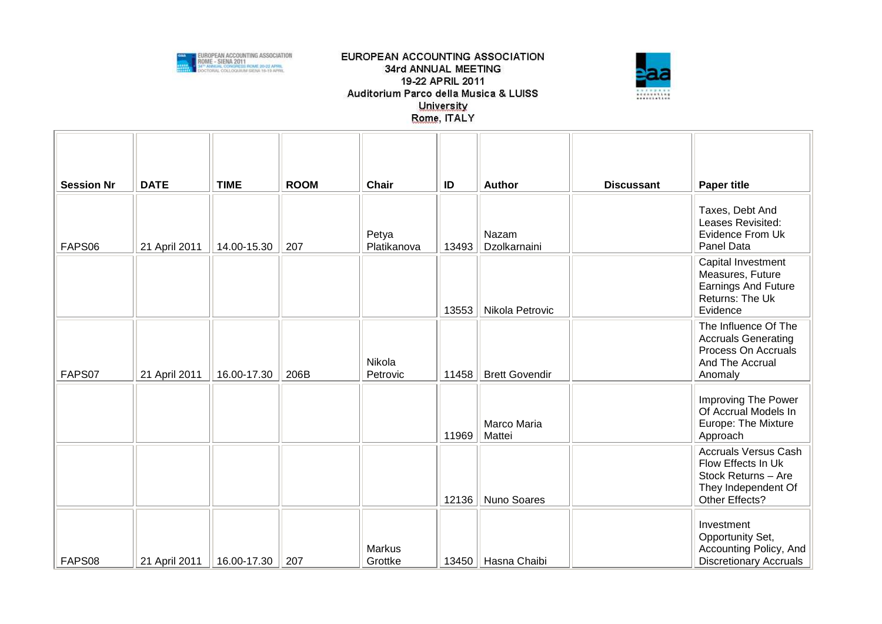



| <b>Session Nr</b> | <b>DATE</b>   | <b>TIME</b> | <b>ROOM</b> | <b>Chair</b>             | ID    | <b>Author</b>         | <b>Discussant</b> | <b>Paper title</b>                                                                                                |
|-------------------|---------------|-------------|-------------|--------------------------|-------|-----------------------|-------------------|-------------------------------------------------------------------------------------------------------------------|
| FAPS06            | 21 April 2011 | 14.00-15.30 | 207         | Petya<br>Platikanova     | 13493 | Nazam<br>Dzolkarnaini |                   | Taxes, Debt And<br>Leases Revisited:<br>Evidence From Uk<br>Panel Data                                            |
|                   |               |             |             |                          | 13553 | Nikola Petrovic       |                   | Capital Investment<br>Measures, Future<br><b>Earnings And Future</b><br>Returns: The Uk<br>Evidence               |
| FAPS07            | 21 April 2011 | 16.00-17.30 | 206B        | Nikola<br>Petrovic       | 11458 | <b>Brett Govendir</b> |                   | The Influence Of The<br><b>Accruals Generating</b><br>Process On Accruals<br>And The Accrual<br>Anomaly           |
|                   |               |             |             |                          | 11969 | Marco Maria<br>Mattei |                   | Improving The Power<br>Of Accrual Models In<br>Europe: The Mixture<br>Approach                                    |
|                   |               |             |             |                          | 12136 | Nuno Soares           |                   | <b>Accruals Versus Cash</b><br>Flow Effects In Uk<br>Stock Returns - Are<br>They Independent Of<br>Other Effects? |
| FAPS08            | 21 April 2011 | 16.00-17.30 | 207         | <b>Markus</b><br>Grottke | 13450 | Hasna Chaibi          |                   | Investment<br>Opportunity Set,<br>Accounting Policy, And<br><b>Discretionary Accruals</b>                         |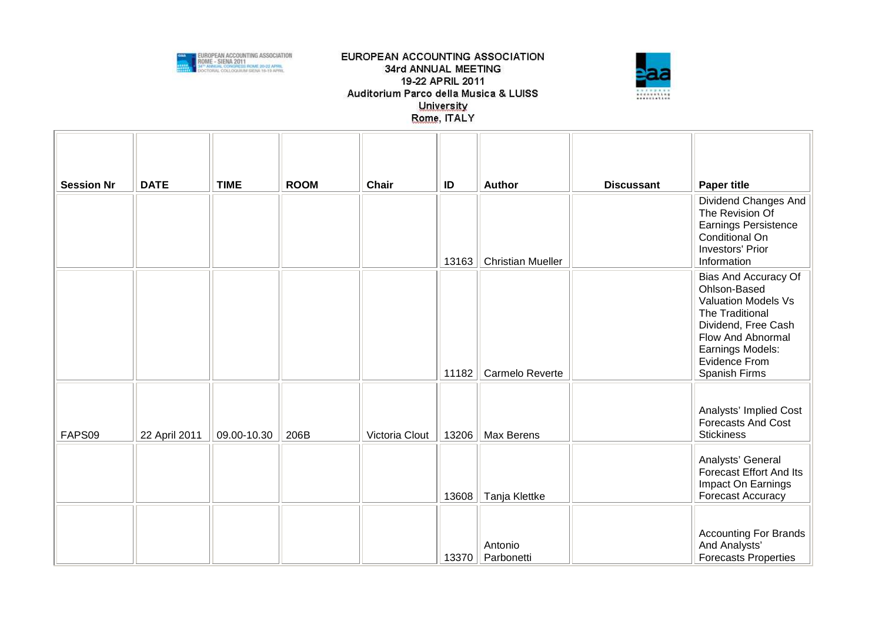



| <b>Session Nr</b> | <b>DATE</b>   | <b>TIME</b> | <b>ROOM</b> | Chair          | ID    | <b>Author</b>            | <b>Discussant</b> | <b>Paper title</b>                                                                                                                                                                      |
|-------------------|---------------|-------------|-------------|----------------|-------|--------------------------|-------------------|-----------------------------------------------------------------------------------------------------------------------------------------------------------------------------------------|
|                   |               |             |             |                | 13163 | <b>Christian Mueller</b> |                   | Dividend Changes And<br>The Revision Of<br><b>Earnings Persistence</b><br>Conditional On<br><b>Investors' Prior</b><br>Information                                                      |
|                   |               |             |             |                | 11182 | Carmelo Reverte          |                   | Bias And Accuracy Of<br>Ohlson-Based<br><b>Valuation Models Vs</b><br>The Traditional<br>Dividend, Free Cash<br>Flow And Abnormal<br>Earnings Models:<br>Evidence From<br>Spanish Firms |
| FAPS09            | 22 April 2011 | 09.00-10.30 | 206B        | Victoria Clout | 13206 | Max Berens               |                   | Analysts' Implied Cost<br>Forecasts And Cost<br><b>Stickiness</b>                                                                                                                       |
|                   |               |             |             |                | 13608 | Tanja Klettke            |                   | Analysts' General<br><b>Forecast Effort And Its</b><br>Impact On Earnings<br><b>Forecast Accuracy</b>                                                                                   |
|                   |               |             |             |                | 13370 | Antonio<br>Parbonetti    |                   | <b>Accounting For Brands</b><br>And Analysts'<br><b>Forecasts Properties</b>                                                                                                            |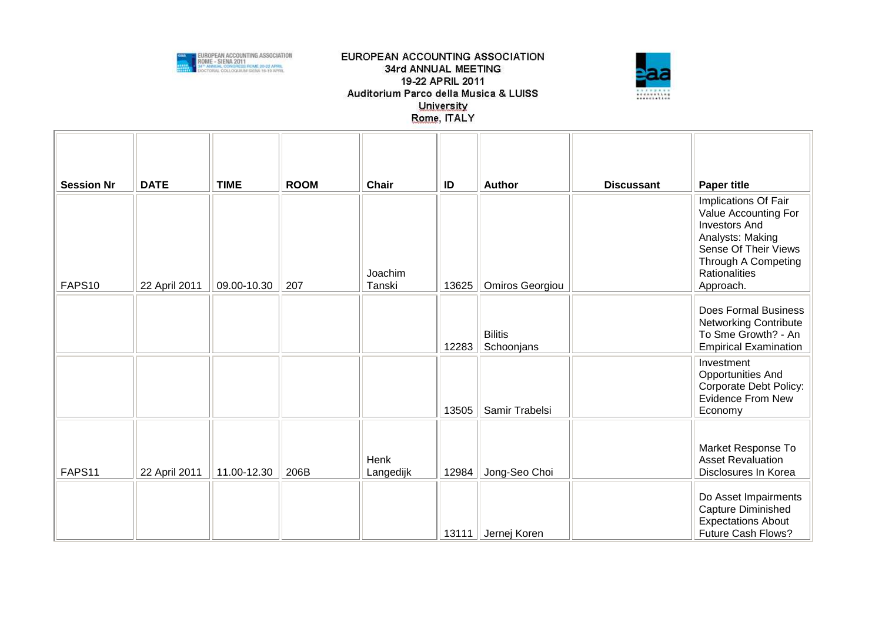



| <b>Session Nr</b> | <b>DATE</b>   | <b>TIME</b> | <b>ROOM</b> | <b>Chair</b>      | ID    | <b>Author</b>                | <b>Discussant</b> | <b>Paper title</b>                                                                                                                                                           |
|-------------------|---------------|-------------|-------------|-------------------|-------|------------------------------|-------------------|------------------------------------------------------------------------------------------------------------------------------------------------------------------------------|
| FAPS10            | 22 April 2011 | 09.00-10.30 | 207         | Joachim<br>Tanski | 13625 | Omiros Georgiou              |                   | Implications Of Fair<br>Value Accounting For<br><b>Investors And</b><br>Analysts: Making<br>Sense Of Their Views<br>Through A Competing<br><b>Rationalities</b><br>Approach. |
|                   |               |             |             |                   | 12283 | <b>Bilitis</b><br>Schoonjans |                   | <b>Does Formal Business</b><br><b>Networking Contribute</b><br>To Sme Growth? - An<br><b>Empirical Examination</b>                                                           |
|                   |               |             |             |                   | 13505 | Samir Trabelsi               |                   | Investment<br><b>Opportunities And</b><br>Corporate Debt Policy:<br><b>Evidence From New</b><br>Economy                                                                      |
| FAPS11            | 22 April 2011 | 11.00-12.30 | 206B        | Henk<br>Langedijk | 12984 | Jong-Seo Choi                |                   | Market Response To<br><b>Asset Revaluation</b><br>Disclosures In Korea                                                                                                       |
|                   |               |             |             |                   | 13111 | Jernej Koren                 |                   | Do Asset Impairments<br>Capture Diminished<br><b>Expectations About</b><br>Future Cash Flows?                                                                                |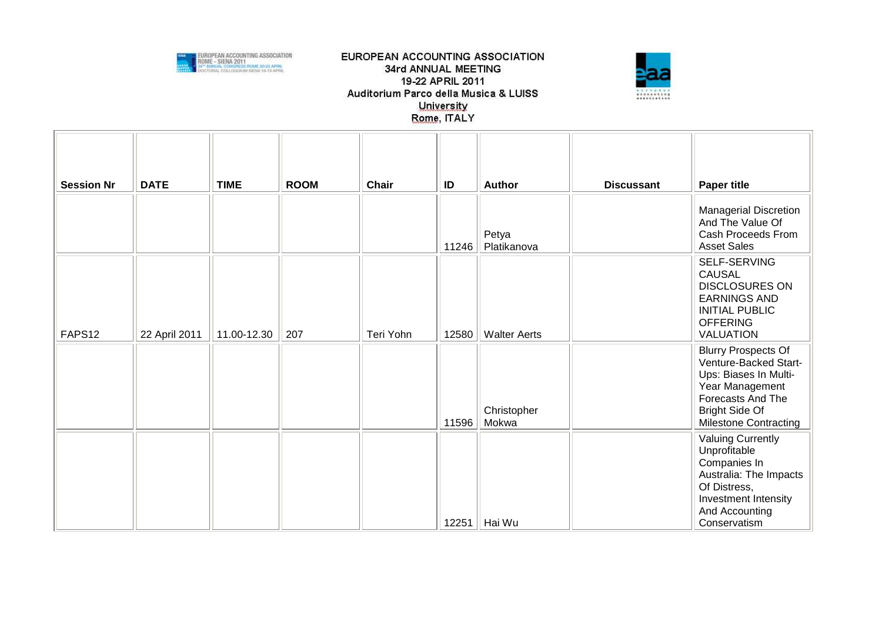



| <b>Session Nr</b> | <b>DATE</b>   | <b>TIME</b> | <b>ROOM</b> | <b>Chair</b> | ID    | <b>Author</b>        | <b>Discussant</b> | <b>Paper title</b>                                                                                                                                                                   |
|-------------------|---------------|-------------|-------------|--------------|-------|----------------------|-------------------|--------------------------------------------------------------------------------------------------------------------------------------------------------------------------------------|
|                   |               |             |             |              | 11246 | Petya<br>Platikanova |                   | <b>Managerial Discretion</b><br>And The Value Of<br>Cash Proceeds From<br><b>Asset Sales</b>                                                                                         |
| FAPS12            | 22 April 2011 | 11.00-12.30 | 207         | Teri Yohn    | 12580 | <b>Walter Aerts</b>  |                   | SELF-SERVING<br><b>CAUSAL</b><br><b>DISCLOSURES ON</b><br><b>EARNINGS AND</b><br><b>INITIAL PUBLIC</b><br><b>OFFERING</b><br><b>VALUATION</b>                                        |
|                   |               |             |             |              | 11596 | Christopher<br>Mokwa |                   | <b>Blurry Prospects Of</b><br>Venture-Backed Start-<br>Ups: Biases In Multi-<br>Year Management<br><b>Forecasts And The</b><br><b>Bright Side Of</b><br><b>Milestone Contracting</b> |
|                   |               |             |             |              | 12251 | Hai Wu               |                   | <b>Valuing Currently</b><br>Unprofitable<br>Companies In<br>Australia: The Impacts<br>Of Distress,<br>Investment Intensity<br>And Accounting<br>Conservatism                         |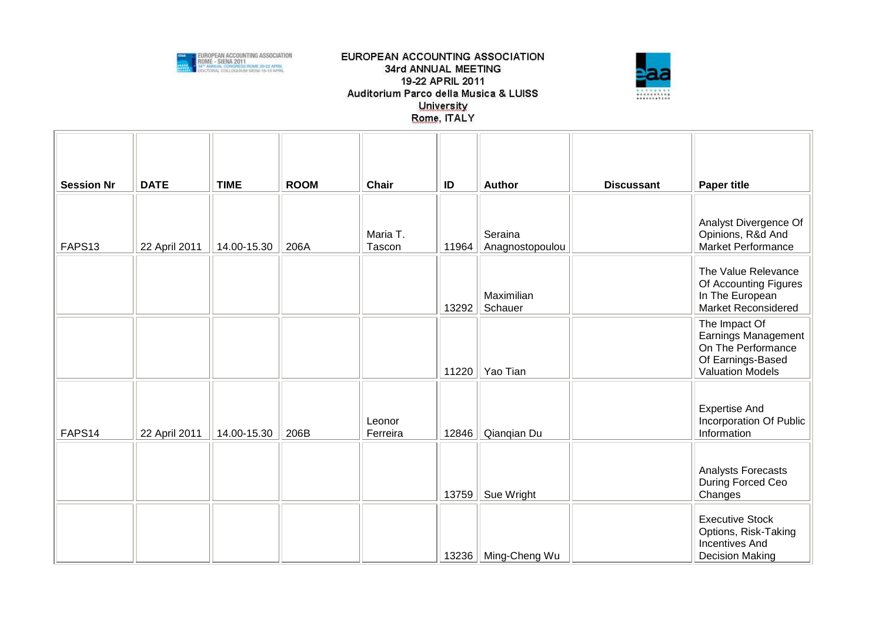



| <b>Session Nr</b> | <b>DATE</b>   | <b>TIME</b> | <b>ROOM</b> | Chair              | ID    | <b>Author</b>              | <b>Discussant</b> | <b>Paper title</b>                                                                                                |
|-------------------|---------------|-------------|-------------|--------------------|-------|----------------------------|-------------------|-------------------------------------------------------------------------------------------------------------------|
| FAPS13            | 22 April 2011 | 14.00-15.30 | 206A        | Maria T.<br>Tascon | 11964 | Seraina<br>Anagnostopoulou |                   | Analyst Divergence Of<br>Opinions, R&d And<br>Market Performance                                                  |
|                   |               |             |             |                    | 13292 | Maximilian<br>Schauer      |                   | The Value Relevance<br>Of Accounting Figures<br>In The European<br><b>Market Reconsidered</b>                     |
|                   |               |             |             |                    | 11220 | Yao Tian                   |                   | The Impact Of<br><b>Earnings Management</b><br>On The Performance<br>Of Earnings-Based<br><b>Valuation Models</b> |
| FAPS14            | 22 April 2011 | 14.00-15.30 | 206B        | Leonor<br>Ferreira | 12846 | Qianqian Du                |                   | <b>Expertise And</b><br>Incorporation Of Public<br>Information                                                    |
|                   |               |             |             |                    | 13759 | Sue Wright                 |                   | Analysts Forecasts<br>During Forced Ceo<br>Changes                                                                |
|                   |               |             |             |                    | 13236 | Ming-Cheng Wu              |                   | <b>Executive Stock</b><br>Options, Risk-Taking<br><b>Incentives And</b><br><b>Decision Making</b>                 |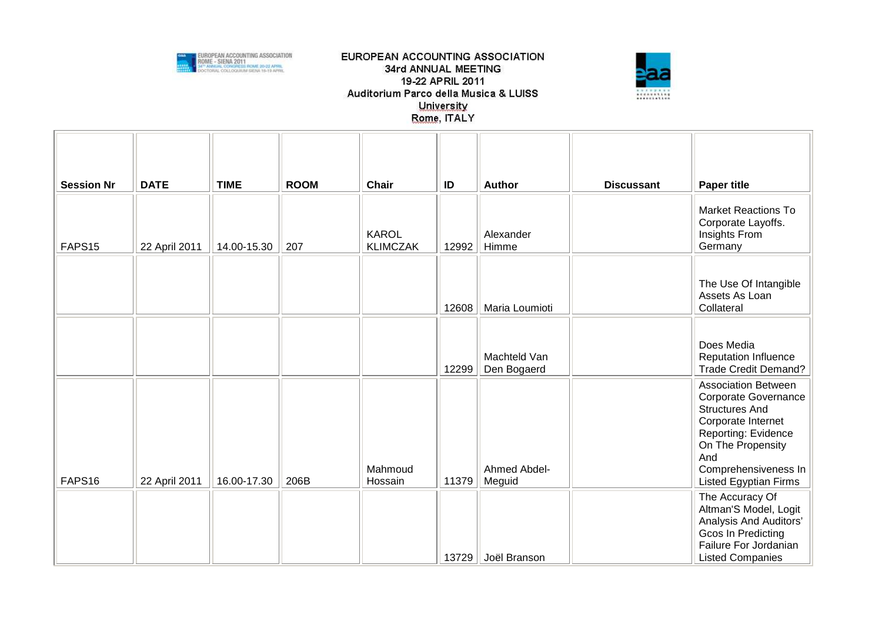



| <b>Session Nr</b> | <b>DATE</b>   | <b>TIME</b> | <b>ROOM</b> | <b>Chair</b>                    | ID    | <b>Author</b>               | <b>Discussant</b> |                                                                                                                                                                                                              |
|-------------------|---------------|-------------|-------------|---------------------------------|-------|-----------------------------|-------------------|--------------------------------------------------------------------------------------------------------------------------------------------------------------------------------------------------------------|
|                   |               |             |             |                                 |       |                             |                   | <b>Paper title</b>                                                                                                                                                                                           |
| FAPS15            | 22 April 2011 | 14.00-15.30 | 207         | <b>KAROL</b><br><b>KLIMCZAK</b> | 12992 | Alexander<br>Himme          |                   | <b>Market Reactions To</b><br>Corporate Layoffs.<br>Insights From<br>Germany                                                                                                                                 |
|                   |               |             |             |                                 |       |                             |                   |                                                                                                                                                                                                              |
|                   |               |             |             |                                 | 12608 | Maria Loumioti              |                   | The Use Of Intangible<br>Assets As Loan<br>Collateral                                                                                                                                                        |
|                   |               |             |             |                                 |       |                             |                   |                                                                                                                                                                                                              |
|                   |               |             |             |                                 | 12299 | Machteld Van<br>Den Bogaerd |                   | Does Media<br><b>Reputation Influence</b><br>Trade Credit Demand?                                                                                                                                            |
| FAPS16            | 22 April 2011 | 16.00-17.30 | 206B        | Mahmoud<br>Hossain              | 11379 | Ahmed Abdel-<br>Meguid      |                   | <b>Association Between</b><br>Corporate Governance<br><b>Structures And</b><br>Corporate Internet<br>Reporting: Evidence<br>On The Propensity<br>And<br>Comprehensiveness In<br><b>Listed Egyptian Firms</b> |
|                   |               |             |             |                                 | 13729 | Joël Branson                |                   | The Accuracy Of<br>Altman'S Model, Logit<br>Analysis And Auditors'<br><b>Gcos In Predicting</b><br>Failure For Jordanian<br><b>Listed Companies</b>                                                          |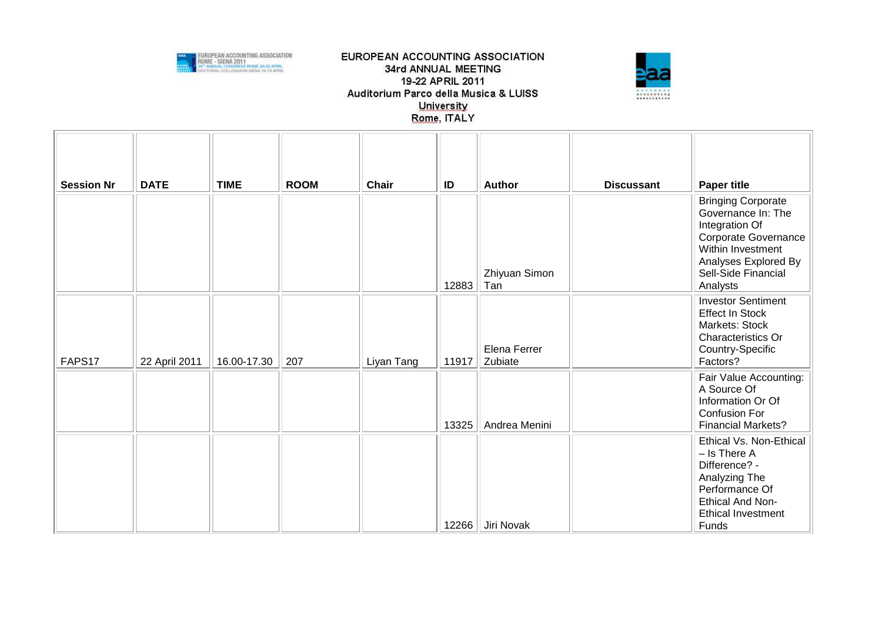



| <b>Session Nr</b> | <b>DATE</b>   | <b>TIME</b> | <b>ROOM</b> | <b>Chair</b> | ID    | <b>Author</b>           | <b>Discussant</b> | <b>Paper title</b>                                                                                                                                                        |
|-------------------|---------------|-------------|-------------|--------------|-------|-------------------------|-------------------|---------------------------------------------------------------------------------------------------------------------------------------------------------------------------|
|                   |               |             |             |              | 12883 | Zhiyuan Simon<br>Tan    |                   | <b>Bringing Corporate</b><br>Governance In: The<br>Integration Of<br>Corporate Governance<br>Within Investment<br>Analyses Explored By<br>Sell-Side Financial<br>Analysts |
| FAPS17            | 22 April 2011 | 16.00-17.30 | 207         | Liyan Tang   | 11917 | Elena Ferrer<br>Zubiate |                   | <b>Investor Sentiment</b><br><b>Effect In Stock</b><br>Markets: Stock<br>Characteristics Or<br>Country-Specific<br>Factors?                                               |
|                   |               |             |             |              | 13325 | Andrea Menini           |                   | Fair Value Accounting:<br>A Source Of<br>Information Or Of<br><b>Confusion For</b><br><b>Financial Markets?</b>                                                           |
|                   |               |             |             |              |       | 12266   Jiri Novak      |                   | Ethical Vs. Non-Ethical<br>$-$ Is There A<br>Difference? -<br>Analyzing The<br>Performance Of<br>Ethical And Non-<br><b>Ethical Investment</b><br>Funds                   |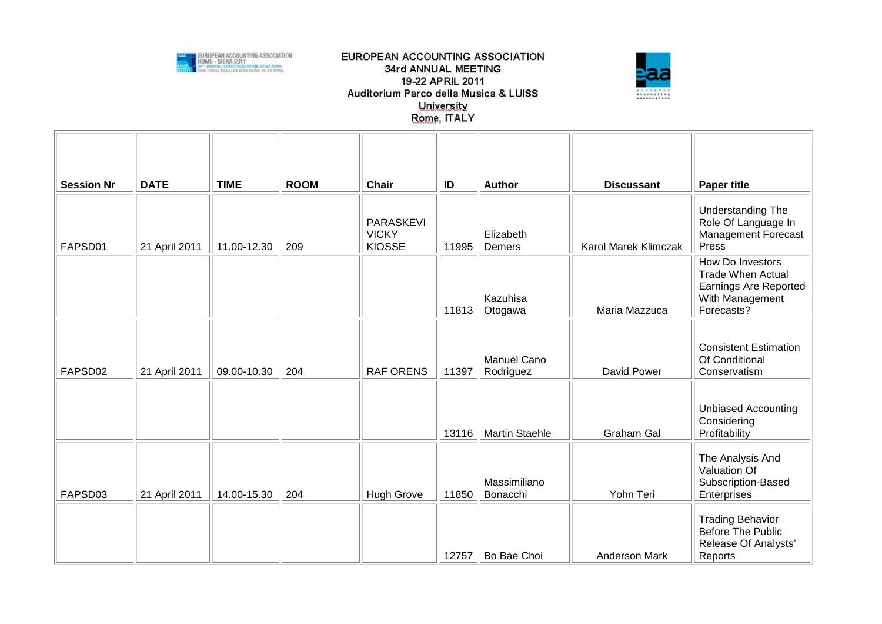



| <b>Session Nr</b> | <b>DATE</b>   | <b>TIME</b> | <b>ROOM</b> | <b>Chair</b>                                      | ID    | <b>Author</b>                   | <b>Discussant</b>    | <b>Paper title</b>                                                                                            |
|-------------------|---------------|-------------|-------------|---------------------------------------------------|-------|---------------------------------|----------------------|---------------------------------------------------------------------------------------------------------------|
| FAPSD01           | 21 April 2011 | 11.00-12.30 | 209         | <b>PARASKEVI</b><br><b>VICKY</b><br><b>KIOSSE</b> | 11995 | Elizabeth<br>Demers             | Karol Marek Klimczak | Understanding The<br>Role Of Language In<br>Management Forecast<br>Press                                      |
|                   |               |             |             |                                                   | 11813 | Kazuhisa<br>Otogawa             | Maria Mazzuca        | How Do Investors<br><b>Trade When Actual</b><br><b>Earnings Are Reported</b><br>With Management<br>Forecasts? |
| FAPSD02           | 21 April 2011 | 09.00-10.30 | 204         | <b>RAF ORENS</b>                                  | 11397 | <b>Manuel Cano</b><br>Rodriguez | David Power          | <b>Consistent Estimation</b><br>Of Conditional<br>Conservatism                                                |
|                   |               |             |             |                                                   | 13116 | <b>Martin Staehle</b>           | <b>Graham Gal</b>    | <b>Unbiased Accounting</b><br>Considering<br>Profitability                                                    |
| FAPSD03           | 21 April 2011 | 14.00-15.30 | 204         | <b>Hugh Grove</b>                                 | 11850 | Massimiliano<br>Bonacchi        | Yohn Teri            | The Analysis And<br>Valuation Of<br>Subscription-Based<br>Enterprises                                         |
|                   |               |             |             |                                                   | 12757 | Bo Bae Choi                     | <b>Anderson Mark</b> | <b>Trading Behavior</b><br>Before The Public<br>Release Of Analysts'<br>Reports                               |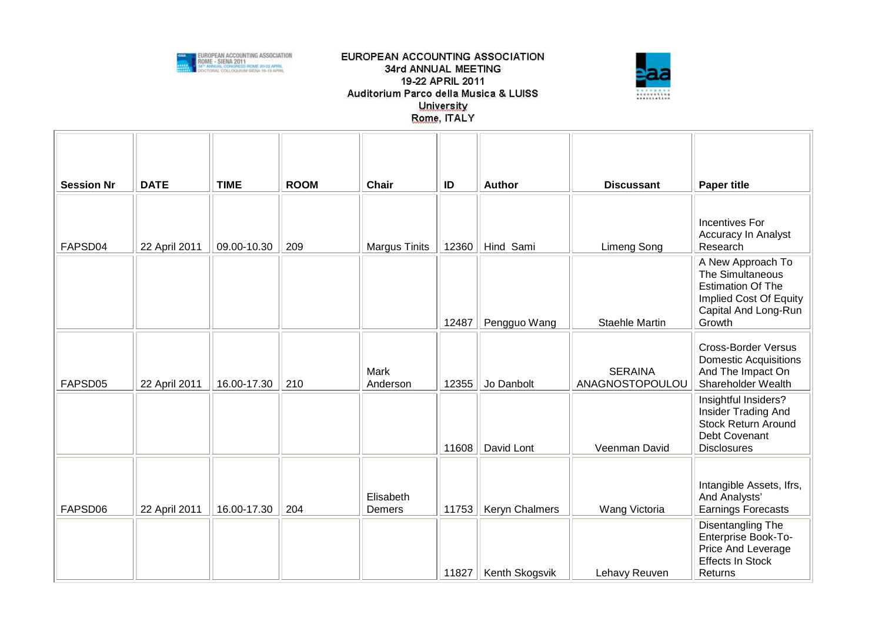



| <b>Session Nr</b> | <b>DATE</b>   | <b>TIME</b> | <b>ROOM</b> | <b>Chair</b>         | ID    | <b>Author</b>  | <b>Discussant</b>                 | <b>Paper title</b>                                                                                                            |
|-------------------|---------------|-------------|-------------|----------------------|-------|----------------|-----------------------------------|-------------------------------------------------------------------------------------------------------------------------------|
| FAPSD04           | 22 April 2011 | 09.00-10.30 | 209         | <b>Margus Tinits</b> | 12360 | Hind Sami      | <b>Limeng Song</b>                | Incentives For<br><b>Accuracy In Analyst</b><br>Research                                                                      |
|                   |               |             |             |                      | 12487 | Pengguo Wang   | Staehle Martin                    | A New Approach To<br>The Simultaneous<br><b>Estimation Of The</b><br>Implied Cost Of Equity<br>Capital And Long-Run<br>Growth |
| FAPSD05           | 22 April 2011 | 16.00-17.30 | 210         | Mark<br>Anderson     | 12355 | Jo Danbolt     | <b>SERAINA</b><br>ANAGNOSTOPOULOU | <b>Cross-Border Versus</b><br><b>Domestic Acquisitions</b><br>And The Impact On<br>Shareholder Wealth                         |
|                   |               |             |             |                      | 11608 | David Lont     | Veenman David                     | Insightful Insiders?<br>Insider Trading And<br>Stock Return Around<br>Debt Covenant<br><b>Disclosures</b>                     |
| FAPSD06           | 22 April 2011 | 16.00-17.30 | 204         | Elisabeth<br>Demers  | 11753 | Keryn Chalmers | Wang Victoria                     | Intangible Assets, Ifrs,<br>And Analysts'<br><b>Earnings Forecasts</b>                                                        |
|                   |               |             |             |                      | 11827 | Kenth Skogsvik | Lehavy Reuven                     | Disentangling The<br>Enterprise Book-To-<br>Price And Leverage<br><b>Effects In Stock</b><br>Returns                          |